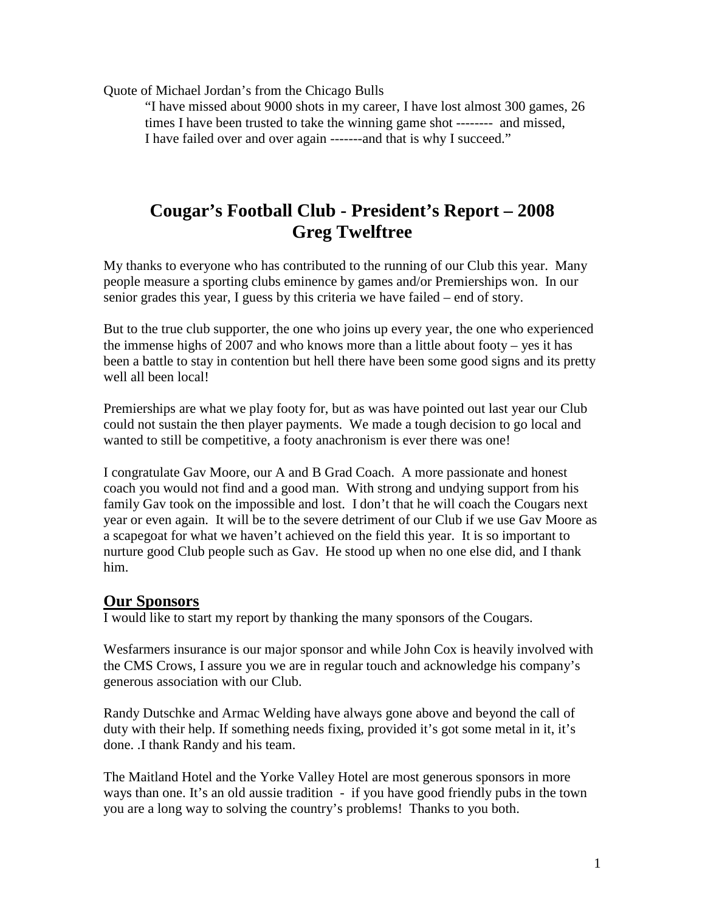Quote of Michael Jordan's from the Chicago Bulls

"I have missed about 9000 shots in my career, I have lost almost 300 games, 26 times I have been trusted to take the winning game shot -------- and missed, I have failed over and over again -------and that is why I succeed."

# **Cougar's Football Club - President's Report – 2008 Greg Twelftree**

My thanks to everyone who has contributed to the running of our Club this year. Many people measure a sporting clubs eminence by games and/or Premierships won. In our senior grades this year, I guess by this criteria we have failed – end of story.

But to the true club supporter, the one who joins up every year, the one who experienced the immense highs of 2007 and who knows more than a little about footy – yes it has been a battle to stay in contention but hell there have been some good signs and its pretty well all been local!

Premierships are what we play footy for, but as was have pointed out last year our Club could not sustain the then player payments. We made a tough decision to go local and wanted to still be competitive, a footy anachronism is ever there was one!

I congratulate Gav Moore, our A and B Grad Coach. A more passionate and honest coach you would not find and a good man. With strong and undying support from his family Gav took on the impossible and lost. I don't that he will coach the Cougars next year or even again. It will be to the severe detriment of our Club if we use Gav Moore as a scapegoat for what we haven't achieved on the field this year. It is so important to nurture good Club people such as Gav. He stood up when no one else did, and I thank him.

#### **Our Sponsors**

I would like to start my report by thanking the many sponsors of the Cougars.

Wesfarmers insurance is our major sponsor and while John Cox is heavily involved with the CMS Crows, I assure you we are in regular touch and acknowledge his company's generous association with our Club.

Randy Dutschke and Armac Welding have always gone above and beyond the call of duty with their help. If something needs fixing, provided it's got some metal in it, it's done. .I thank Randy and his team.

The Maitland Hotel and the Yorke Valley Hotel are most generous sponsors in more ways than one. It's an old aussie tradition - if you have good friendly pubs in the town you are a long way to solving the country's problems! Thanks to you both.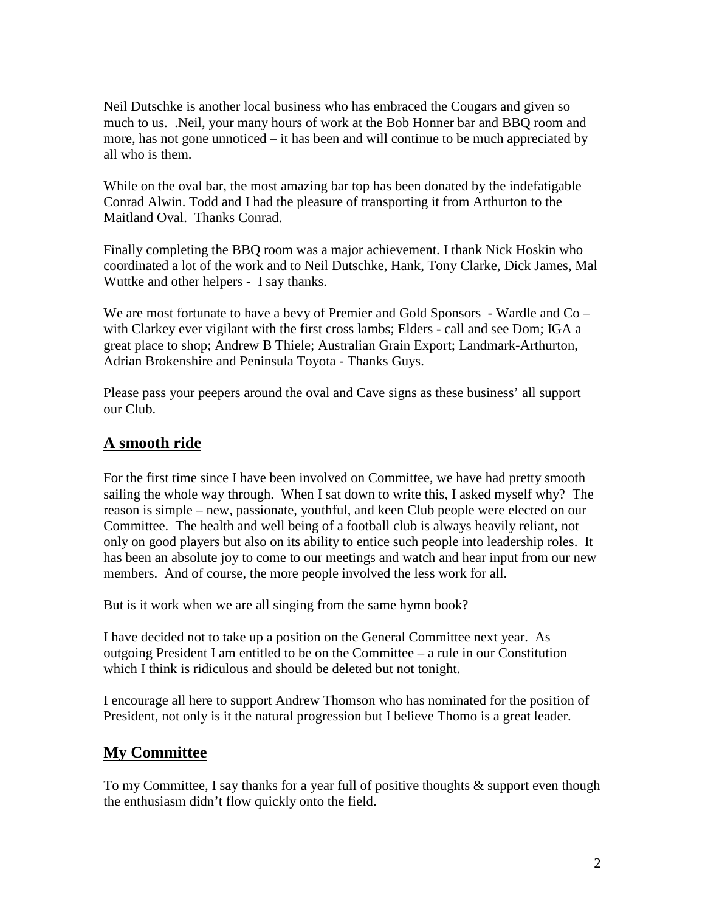Neil Dutschke is another local business who has embraced the Cougars and given so much to us. .Neil, your many hours of work at the Bob Honner bar and BBQ room and more, has not gone unnoticed – it has been and will continue to be much appreciated by all who is them.

While on the oval bar, the most amazing bar top has been donated by the indefatigable Conrad Alwin. Todd and I had the pleasure of transporting it from Arthurton to the Maitland Oval. Thanks Conrad.

Finally completing the BBQ room was a major achievement. I thank Nick Hoskin who coordinated a lot of the work and to Neil Dutschke, Hank, Tony Clarke, Dick James, Mal Wuttke and other helpers - I say thanks.

We are most fortunate to have a bevy of Premier and Gold Sponsors - Wardle and Co – with Clarkey ever vigilant with the first cross lambs; Elders - call and see Dom; IGA a great place to shop; Andrew B Thiele; Australian Grain Export; Landmark-Arthurton, Adrian Brokenshire and Peninsula Toyota - Thanks Guys.

Please pass your peepers around the oval and Cave signs as these business' all support our Club.

#### **A smooth ride**

For the first time since I have been involved on Committee, we have had pretty smooth sailing the whole way through. When I sat down to write this, I asked myself why? The reason is simple – new, passionate, youthful, and keen Club people were elected on our Committee. The health and well being of a football club is always heavily reliant, not only on good players but also on its ability to entice such people into leadership roles. It has been an absolute joy to come to our meetings and watch and hear input from our new members. And of course, the more people involved the less work for all.

But is it work when we are all singing from the same hymn book?

I have decided not to take up a position on the General Committee next year. As outgoing President I am entitled to be on the Committee – a rule in our Constitution which I think is ridiculous and should be deleted but not tonight.

I encourage all here to support Andrew Thomson who has nominated for the position of President, not only is it the natural progression but I believe Thomo is a great leader.

### **My Committee**

To my Committee, I say thanks for a year full of positive thoughts  $\&$  support even though the enthusiasm didn't flow quickly onto the field.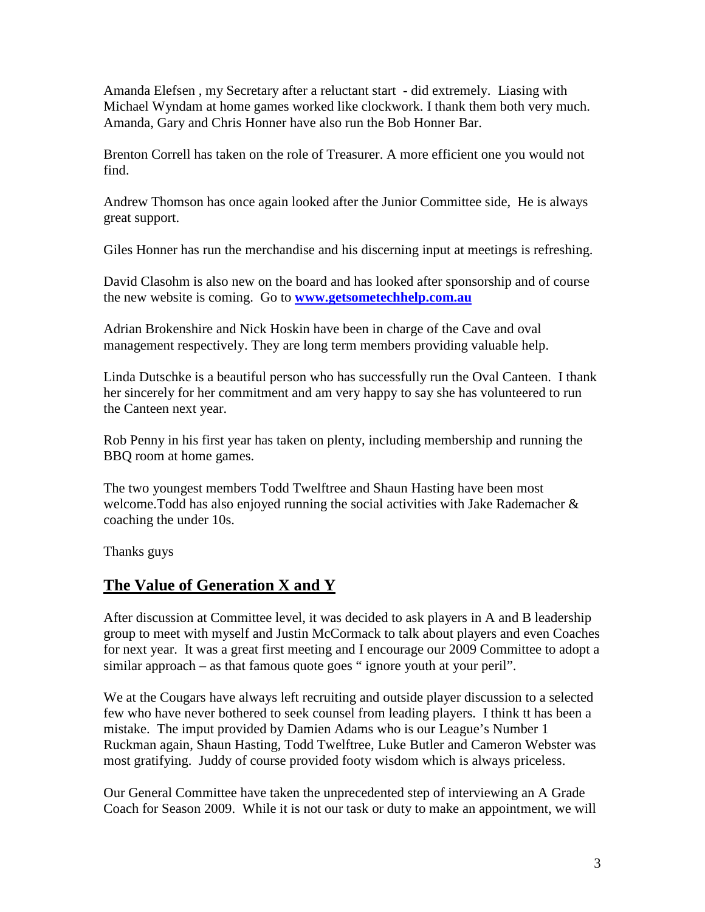Amanda Elefsen , my Secretary after a reluctant start - did extremely. Liasing with Michael Wyndam at home games worked like clockwork. I thank them both very much. Amanda, Gary and Chris Honner have also run the Bob Honner Bar.

Brenton Correll has taken on the role of Treasurer. A more efficient one you would not find.

Andrew Thomson has once again looked after the Junior Committee side, He is always great support.

Giles Honner has run the merchandise and his discerning input at meetings is refreshing.

David Clasohm is also new on the board and has looked after sponsorship and of course the new website is coming. Go to **www.getsometechhelp.com.au**

Adrian Brokenshire and Nick Hoskin have been in charge of the Cave and oval management respectively. They are long term members providing valuable help.

Linda Dutschke is a beautiful person who has successfully run the Oval Canteen. I thank her sincerely for her commitment and am very happy to say she has volunteered to run the Canteen next year.

Rob Penny in his first year has taken on plenty, including membership and running the BBQ room at home games.

The two youngest members Todd Twelftree and Shaun Hasting have been most welcome. Todd has also enjoyed running the social activities with Jake Rademacher  $\&$ coaching the under 10s.

Thanks guys

### **The Value of Generation X and Y**

After discussion at Committee level, it was decided to ask players in A and B leadership group to meet with myself and Justin McCormack to talk about players and even Coaches for next year. It was a great first meeting and I encourage our 2009 Committee to adopt a similar approach – as that famous quote goes " ignore youth at your peril".

We at the Cougars have always left recruiting and outside player discussion to a selected few who have never bothered to seek counsel from leading players. I think tt has been a mistake. The imput provided by Damien Adams who is our League's Number 1 Ruckman again, Shaun Hasting, Todd Twelftree, Luke Butler and Cameron Webster was most gratifying. Juddy of course provided footy wisdom which is always priceless.

Our General Committee have taken the unprecedented step of interviewing an A Grade Coach for Season 2009. While it is not our task or duty to make an appointment, we will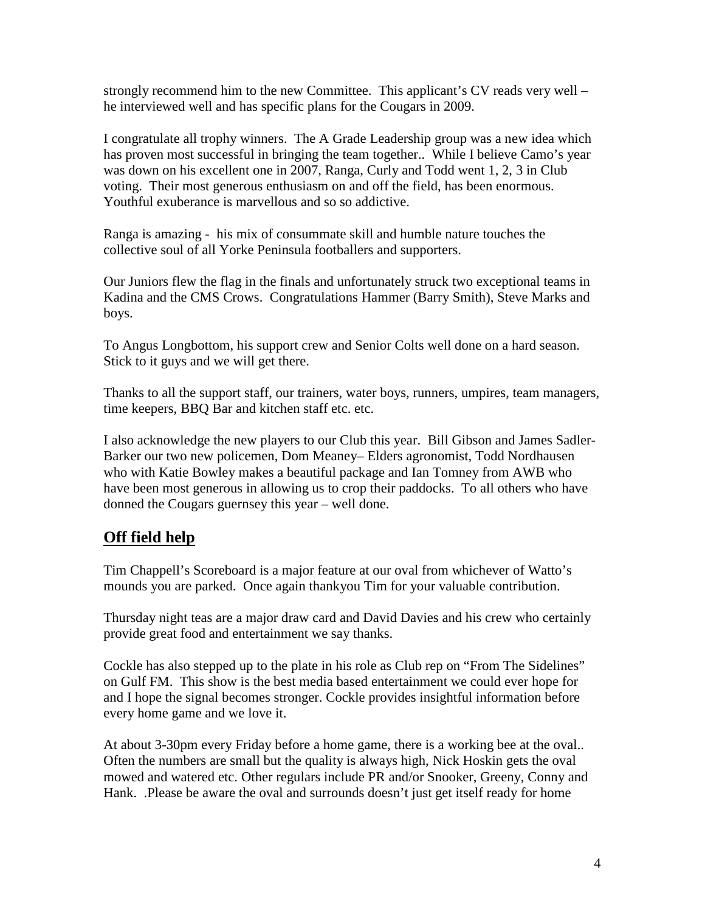strongly recommend him to the new Committee. This applicant's CV reads very well – he interviewed well and has specific plans for the Cougars in 2009.

I congratulate all trophy winners. The A Grade Leadership group was a new idea which has proven most successful in bringing the team together.. While I believe Camo's year was down on his excellent one in 2007, Ranga, Curly and Todd went 1, 2, 3 in Club voting. Their most generous enthusiasm on and off the field, has been enormous. Youthful exuberance is marvellous and so so addictive.

Ranga is amazing - his mix of consummate skill and humble nature touches the collective soul of all Yorke Peninsula footballers and supporters.

Our Juniors flew the flag in the finals and unfortunately struck two exceptional teams in Kadina and the CMS Crows. Congratulations Hammer (Barry Smith), Steve Marks and boys.

To Angus Longbottom, his support crew and Senior Colts well done on a hard season. Stick to it guys and we will get there.

Thanks to all the support staff, our trainers, water boys, runners, umpires, team managers, time keepers, BBQ Bar and kitchen staff etc. etc.

I also acknowledge the new players to our Club this year. Bill Gibson and James Sadler-Barker our two new policemen, Dom Meaney– Elders agronomist, Todd Nordhausen who with Katie Bowley makes a beautiful package and Ian Tomney from AWB who have been most generous in allowing us to crop their paddocks. To all others who have donned the Cougars guernsey this year – well done.

### **Off field help**

Tim Chappell's Scoreboard is a major feature at our oval from whichever of Watto's mounds you are parked. Once again thankyou Tim for your valuable contribution.

Thursday night teas are a major draw card and David Davies and his crew who certainly provide great food and entertainment we say thanks.

Cockle has also stepped up to the plate in his role as Club rep on "From The Sidelines" on Gulf FM. This show is the best media based entertainment we could ever hope for and I hope the signal becomes stronger. Cockle provides insightful information before every home game and we love it.

At about 3-30pm every Friday before a home game, there is a working bee at the oval.. Often the numbers are small but the quality is always high, Nick Hoskin gets the oval mowed and watered etc. Other regulars include PR and/or Snooker, Greeny, Conny and Hank. .Please be aware the oval and surrounds doesn't just get itself ready for home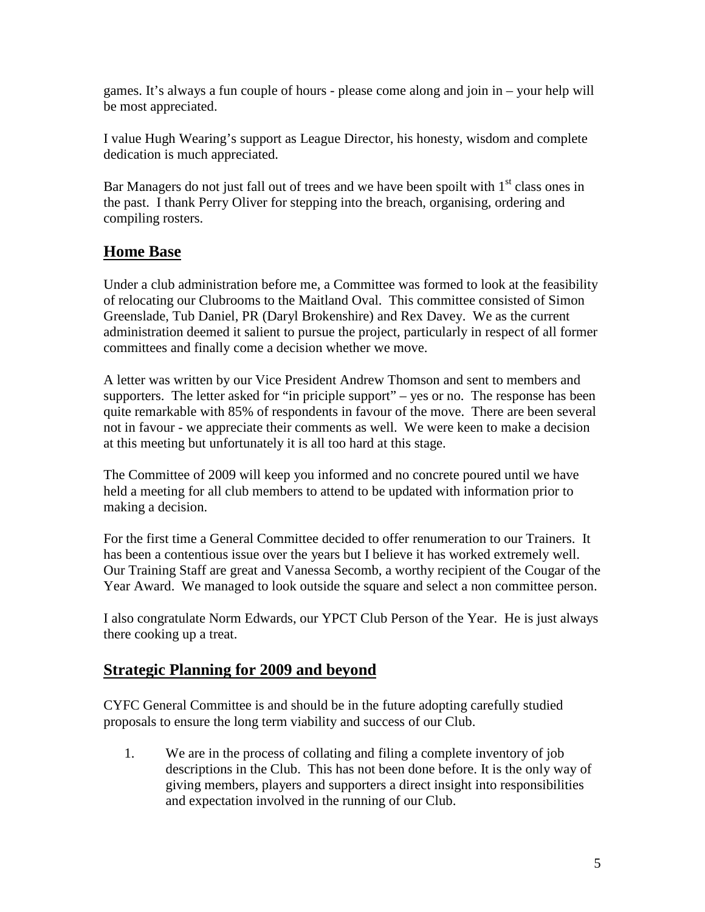games. It's always a fun couple of hours - please come along and join in – your help will be most appreciated.

I value Hugh Wearing's support as League Director, his honesty, wisdom and complete dedication is much appreciated.

Bar Managers do not just fall out of trees and we have been spoilt with  $1<sup>st</sup>$  class ones in the past. I thank Perry Oliver for stepping into the breach, organising, ordering and compiling rosters.

### **Home Base**

Under a club administration before me, a Committee was formed to look at the feasibility of relocating our Clubrooms to the Maitland Oval. This committee consisted of Simon Greenslade, Tub Daniel, PR (Daryl Brokenshire) and Rex Davey. We as the current administration deemed it salient to pursue the project, particularly in respect of all former committees and finally come a decision whether we move.

A letter was written by our Vice President Andrew Thomson and sent to members and supporters. The letter asked for "in priciple support" – yes or no. The response has been quite remarkable with 85% of respondents in favour of the move. There are been several not in favour - we appreciate their comments as well. We were keen to make a decision at this meeting but unfortunately it is all too hard at this stage.

The Committee of 2009 will keep you informed and no concrete poured until we have held a meeting for all club members to attend to be updated with information prior to making a decision.

For the first time a General Committee decided to offer renumeration to our Trainers. It has been a contentious issue over the years but I believe it has worked extremely well. Our Training Staff are great and Vanessa Secomb, a worthy recipient of the Cougar of the Year Award. We managed to look outside the square and select a non committee person.

I also congratulate Norm Edwards, our YPCT Club Person of the Year. He is just always there cooking up a treat.

### **Strategic Planning for 2009 and beyond**

CYFC General Committee is and should be in the future adopting carefully studied proposals to ensure the long term viability and success of our Club.

1. We are in the process of collating and filing a complete inventory of job descriptions in the Club. This has not been done before. It is the only way of giving members, players and supporters a direct insight into responsibilities and expectation involved in the running of our Club.